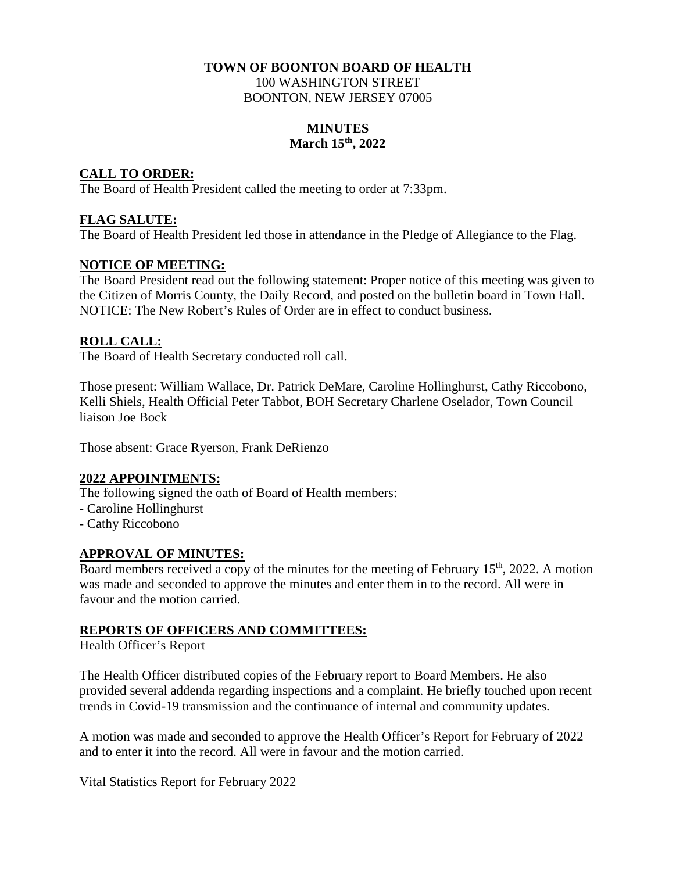#### **TOWN OF BOONTON BOARD OF HEALTH**  100 WASHINGTON STREET BOONTON, NEW JERSEY 07005

#### **MINUTES March 15th, 2022**

### **CALL TO ORDER:**

The Board of Health President called the meeting to order at 7:33pm.

# **FLAG SALUTE:**

The Board of Health President led those in attendance in the Pledge of Allegiance to the Flag.

# **NOTICE OF MEETING:**

The Board President read out the following statement: Proper notice of this meeting was given to the Citizen of Morris County, the Daily Record, and posted on the bulletin board in Town Hall. NOTICE: The New Robert's Rules of Order are in effect to conduct business.

# **ROLL CALL:**

The Board of Health Secretary conducted roll call.

Those present: William Wallace, Dr. Patrick DeMare, Caroline Hollinghurst, Cathy Riccobono, Kelli Shiels, Health Official Peter Tabbot, BOH Secretary Charlene Oselador, Town Council liaison Joe Bock

Those absent: Grace Ryerson, Frank DeRienzo

#### **2022 APPOINTMENTS:**

The following signed the oath of Board of Health members:

- Caroline Hollinghurst
- Cathy Riccobono

#### **APPROVAL OF MINUTES:**

Board members received a copy of the minutes for the meeting of February  $15<sup>th</sup>$ , 2022. A motion was made and seconded to approve the minutes and enter them in to the record. All were in favour and the motion carried.

#### **REPORTS OF OFFICERS AND COMMITTEES:**

Health Officer's Report

The Health Officer distributed copies of the February report to Board Members. He also provided several addenda regarding inspections and a complaint. He briefly touched upon recent trends in Covid-19 transmission and the continuance of internal and community updates.

A motion was made and seconded to approve the Health Officer's Report for February of 2022 and to enter it into the record. All were in favour and the motion carried.

Vital Statistics Report for February 2022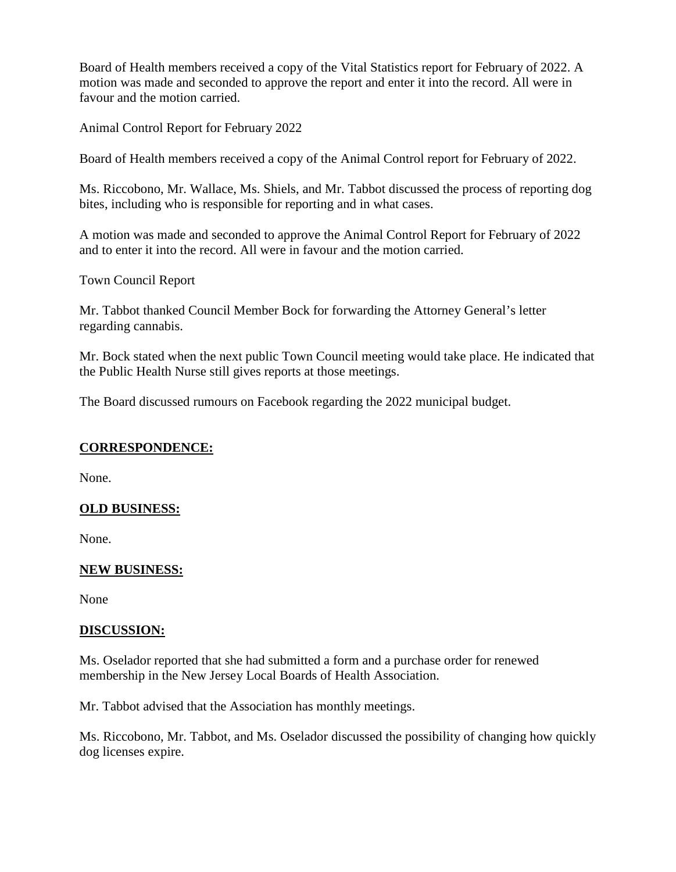Board of Health members received a copy of the Vital Statistics report for February of 2022. A motion was made and seconded to approve the report and enter it into the record. All were in favour and the motion carried.

Animal Control Report for February 2022

Board of Health members received a copy of the Animal Control report for February of 2022.

Ms. Riccobono, Mr. Wallace, Ms. Shiels, and Mr. Tabbot discussed the process of reporting dog bites, including who is responsible for reporting and in what cases.

A motion was made and seconded to approve the Animal Control Report for February of 2022 and to enter it into the record. All were in favour and the motion carried.

Town Council Report

Mr. Tabbot thanked Council Member Bock for forwarding the Attorney General's letter regarding cannabis.

Mr. Bock stated when the next public Town Council meeting would take place. He indicated that the Public Health Nurse still gives reports at those meetings.

The Board discussed rumours on Facebook regarding the 2022 municipal budget.

#### **CORRESPONDENCE:**

None.

#### **OLD BUSINESS:**

None.

#### **NEW BUSINESS:**

None

#### **DISCUSSION:**

Ms. Oselador reported that she had submitted a form and a purchase order for renewed membership in the New Jersey Local Boards of Health Association.

Mr. Tabbot advised that the Association has monthly meetings.

Ms. Riccobono, Mr. Tabbot, and Ms. Oselador discussed the possibility of changing how quickly dog licenses expire.